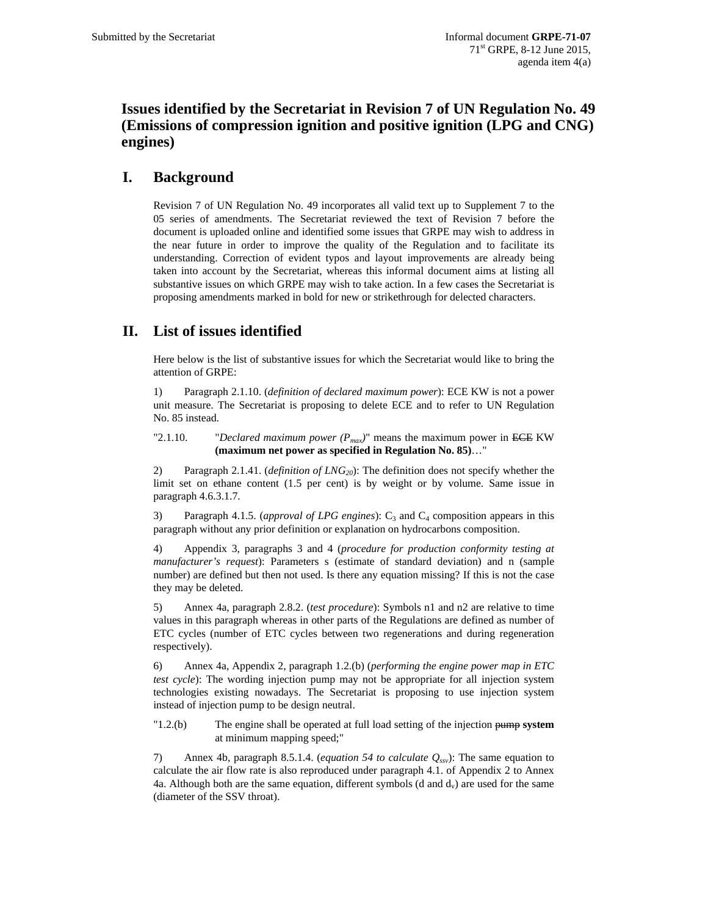## **Issues identified by the Secretariat in Revision 7 of UN Regulation No. 49 (Emissions of compression ignition and positive ignition (LPG and CNG) engines)**

## **I. Background**

Revision 7 of UN Regulation No. 49 incorporates all valid text up to Supplement 7 to the 05 series of amendments. The Secretariat reviewed the text of Revision 7 before the document is uploaded online and identified some issues that GRPE may wish to address in the near future in order to improve the quality of the Regulation and to facilitate its understanding. Correction of evident typos and layout improvements are already being taken into account by the Secretariat, whereas this informal document aims at listing all substantive issues on which GRPE may wish to take action. In a few cases the Secretariat is proposing amendments marked in bold for new or strikethrough for delected characters.

## **II. List of issues identified**

Here below is the list of substantive issues for which the Secretariat would like to bring the attention of GRPE:

1) Paragraph 2.1.10. (*definition of declared maximum power*): ECE KW is not a power unit measure. The Secretariat is proposing to delete ECE and to refer to UN Regulation No. 85 instead.

"2.1.10. "*Declared maximum power*  $(P_{max})$ " means the maximum power in ECE KW **(maximum net power as specified in Regulation No. 85)**…"

2) Paragraph 2.1.41. (*definition of LNG<sub>20</sub>*): The definition does not specify whether the limit set on ethane content (1.5 per cent) is by weight or by volume. Same issue in paragraph 4.6.3.1.7.

3) Paragraph 4.1.5. (*approval of LPG engines*): C<sub>3</sub> and C<sub>4</sub> composition appears in this paragraph without any prior definition or explanation on hydrocarbons composition.

4) Appendix 3, paragraphs 3 and 4 (*procedure for production conformity testing at manufacturer's request*): Parameters s (estimate of standard deviation) and n (sample number) are defined but then not used. Is there any equation missing? If this is not the case they may be deleted.

5) Annex 4a, paragraph 2.8.2. (*test procedure*): Symbols n1 and n2 are relative to time values in this paragraph whereas in other parts of the Regulations are defined as number of ETC cycles (number of ETC cycles between two regenerations and during regeneration respectively).

6) Annex 4a, Appendix 2, paragraph 1.2.(b) (*performing the engine power map in ETC test cycle*): The wording injection pump may not be appropriate for all injection system technologies existing nowadays. The Secretariat is proposing to use injection system instead of injection pump to be design neutral.

"1.2.(b) The engine shall be operated at full load setting of the injection pump **system** at minimum mapping speed;"

7) Annex 4b, paragraph 8.5.1.4. (*equation 54 to calculate Qssv*): The same equation to calculate the air flow rate is also reproduced under paragraph 4.1. of Appendix 2 to Annex 4a. Although both are the same equation, different symbols (d and  $d<sub>v</sub>$ ) are used for the same (diameter of the SSV throat).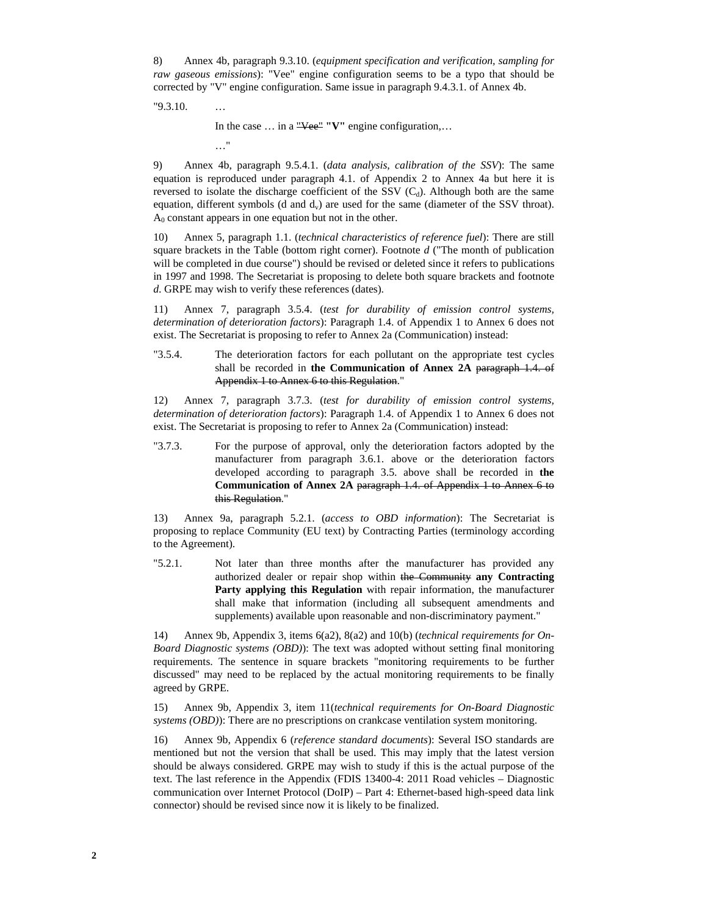8) Annex 4b, paragraph 9.3.10. (*equipment specification and verification, sampling for raw gaseous emissions*): "Vee" engine configuration seems to be a typo that should be corrected by "V" engine configuration. Same issue in paragraph 9.4.3.1. of Annex 4b.

"9.3.10. …

 In the case … in a "Vee" **"V"** engine configuration,… …"

9) Annex 4b, paragraph 9.5.4.1. (*data analysis, calibration of the SSV*): The same equation is reproduced under paragraph 4.1. of Appendix 2 to Annex 4a but here it is reversed to isolate the discharge coefficient of the SSV  $(C_d)$ . Although both are the same equation, different symbols (d and  $d<sub>v</sub>$ ) are used for the same (diameter of the SSV throat).  $A<sub>0</sub>$  constant appears in one equation but not in the other.

10) Annex 5, paragraph 1.1. (*technical characteristics of reference fuel*): There are still square brackets in the Table (bottom right corner). Footnote *d* ("The month of publication will be completed in due course") should be revised or deleted since it refers to publications in 1997 and 1998. The Secretariat is proposing to delete both square brackets and footnote *d*. GRPE may wish to verify these references (dates).

11) Annex 7, paragraph 3.5.4. (*test for durability of emission control systems, determination of deterioration factors*): Paragraph 1.4. of Appendix 1 to Annex 6 does not exist. The Secretariat is proposing to refer to Annex 2a (Communication) instead:

"3.5.4. The deterioration factors for each pollutant on the appropriate test cycles shall be recorded in **the Communication of Annex 2A** paragraph 1.4. of Appendix 1 to Annex 6 to this Regulation."

12) Annex 7, paragraph 3.7.3. (*test for durability of emission control systems, determination of deterioration factors*): Paragraph 1.4. of Appendix 1 to Annex 6 does not exist. The Secretariat is proposing to refer to Annex 2a (Communication) instead:

"3.7.3. For the purpose of approval, only the deterioration factors adopted by the manufacturer from paragraph 3.6.1. above or the deterioration factors developed according to paragraph 3.5. above shall be recorded in **the Communication of Annex 2A** paragraph 1.4. of Appendix 1 to Annex 6 to this Regulation."

13) Annex 9a, paragraph 5.2.1. (*access to OBD information*): The Secretariat is proposing to replace Community (EU text) by Contracting Parties (terminology according to the Agreement).

"5.2.1. Not later than three months after the manufacturer has provided any authorized dealer or repair shop within the Community **any Contracting Party applying this Regulation** with repair information, the manufacturer shall make that information (including all subsequent amendments and supplements) available upon reasonable and non-discriminatory payment."

14) Annex 9b, Appendix 3, items 6(a2), 8(a2) and 10(b) (*technical requirements for On-Board Diagnostic systems (OBD)*): The text was adopted without setting final monitoring requirements. The sentence in square brackets "monitoring requirements to be further discussed" may need to be replaced by the actual monitoring requirements to be finally agreed by GRPE.

15) Annex 9b, Appendix 3, item 11(*technical requirements for On-Board Diagnostic systems (OBD)*): There are no prescriptions on crankcase ventilation system monitoring.

16) Annex 9b, Appendix 6 (*reference standard documents*): Several ISO standards are mentioned but not the version that shall be used. This may imply that the latest version should be always considered. GRPE may wish to study if this is the actual purpose of the text. The last reference in the Appendix (FDIS 13400-4: 2011 Road vehicles – Diagnostic communication over Internet Protocol (DoIP) – Part 4: Ethernet-based high-speed data link connector) should be revised since now it is likely to be finalized.